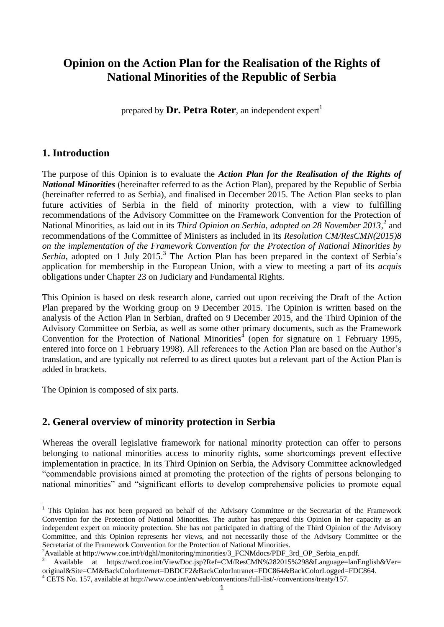# **Opinion on the Action Plan for the Realisation of the Rights of National Minorities of the Republic of Serbia**

prepared by  $\textbf{Dr. Petra Roter.}$  an independent expert<sup>1</sup>

# **1. Introduction**

The purpose of this Opinion is to evaluate the *Action Plan for the Realisation of the Rights of National Minorities* (hereinafter referred to as the Action Plan), prepared by the Republic of Serbia (hereinafter referred to as Serbia), and finalised in December 2015. The Action Plan seeks to plan future activities of Serbia in the field of minority protection, with a view to fulfilling recommendations of the Advisory Committee on the Framework Convention for the Protection of National Minorities, as laid out in its *Third Opinion on Serbia, adopted on 28 November 2013*<sup>2</sup> and recommendations of the Committee of Ministers as included in its *Resolution CM/ResCMN(2015)8 on the implementation of the Framework Convention for the Protection of National Minorities by*  Serbia, adopted on 1 July 2015.<sup>3</sup> The Action Plan has been prepared in the context of Serbia's application for membership in the European Union, with a view to meeting a part of its *acquis* obligations under Chapter 23 on Judiciary and Fundamental Rights.

This Opinion is based on desk research alone, carried out upon receiving the Draft of the Action Plan prepared by the Working group on 9 December 2015. The Opinion is written based on the analysis of the Action Plan in Serbian, drafted on 9 December 2015, and the Third Opinion of the Advisory Committee on Serbia, as well as some other primary documents, such as the Framework Convention for the Protection of National Minorities<sup> $4$ </sup> (open for signature on 1 February 1995, entered into force on 1 February 1998). All references to the Action Plan are based on the Author's translation, and are typically not referred to as direct quotes but a relevant part of the Action Plan is added in brackets.

The Opinion is composed of six parts.

1

# **2. General overview of minority protection in Serbia**

Whereas the overall legislative framework for national minority protection can offer to persons belonging to national minorities access to minority rights, some shortcomings prevent effective implementation in practice. In its Third Opinion on Serbia, the Advisory Committee acknowledged "commendable provisions aimed at promoting the protection of the rights of persons belonging to national minorities" and "significant efforts to develop comprehensive policies to promote equal

<sup>&</sup>lt;sup>1</sup> This Opinion has not been prepared on behalf of the Advisory Committee or the Secretariat of the Framework Convention for the Protection of National Minorities. The author has prepared this Opinion in her capacity as an independent expert on minority protection. She has not participated in drafting of the Third Opinion of the Advisory Committee, and this Opinion represents her views, and not necessarily those of the Advisory Committee or the Secretariat of the Framework Convention for the Protection of National Minorities.

<sup>&</sup>lt;sup>2</sup>Available at http://www.coe.int/t/dghl/monitoring/minorities/3\_FCNMdocs/PDF\_3rd\_OP\_Serbia\_en.pdf.

<sup>3</sup> Available at https://wcd.coe.int/ViewDoc.jsp?Ref=CM/ResCMN%282015%298&Language=lanEnglish&Ver= original&Site=CM&BackColorInternet=DBDCF2&BackColorIntranet=FDC864&BackColorLogged=FDC864.

<sup>&</sup>lt;sup>4</sup> CETS No. 157, available at http://www.coe.int/en/web/conventions/full-list/-/conventions/treaty/157.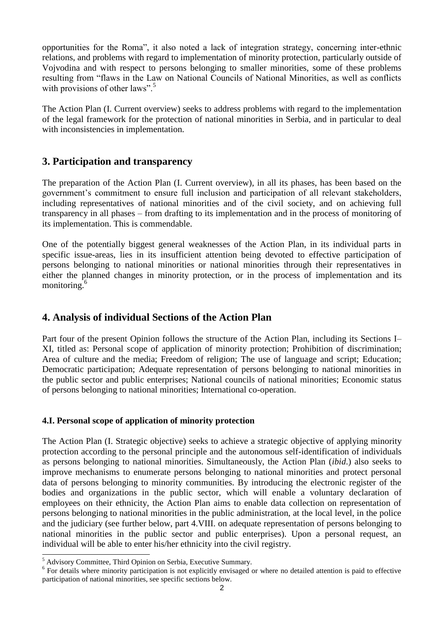opportunities for the Roma", it also noted a lack of integration strategy, concerning inter-ethnic relations, and problems with regard to implementation of minority protection, particularly outside of Vojvodina and with respect to persons belonging to smaller minorities, some of these problems resulting from "flaws in the Law on National Councils of National Minorities, as well as conflicts with provisions of other laws".<sup>5</sup>

The Action Plan (I. Current overview) seeks to address problems with regard to the implementation of the legal framework for the protection of national minorities in Serbia, and in particular to deal with inconsistencies in implementation.

# **3. Participation and transparency**

The preparation of the Action Plan (I. Current overview), in all its phases, has been based on the government's commitment to ensure full inclusion and participation of all relevant stakeholders, including representatives of national minorities and of the civil society, and on achieving full transparency in all phases – from drafting to its implementation and in the process of monitoring of its implementation. This is commendable.

One of the potentially biggest general weaknesses of the Action Plan, in its individual parts in specific issue-areas, lies in its insufficient attention being devoted to effective participation of persons belonging to national minorities or national minorities through their representatives in either the planned changes in minority protection, or in the process of implementation and its monitoring.<sup>6</sup>

### **4. Analysis of individual Sections of the Action Plan**

Part four of the present Opinion follows the structure of the Action Plan, including its Sections I– XI, titled as: Personal scope of application of minority protection; Prohibition of discrimination; Area of culture and the media; Freedom of religion; The use of language and script; Education; Democratic participation; Adequate representation of persons belonging to national minorities in the public sector and public enterprises; National councils of national minorities; Economic status of persons belonging to national minorities; International co-operation.

### **4.I. Personal scope of application of minority protection**

The Action Plan (I. Strategic objective) seeks to achieve a strategic objective of applying minority protection according to the personal principle and the autonomous self-identification of individuals as persons belonging to national minorities. Simultaneously, the Action Plan (*ibid*.) also seeks to improve mechanisms to enumerate persons belonging to national minorities and protect personal data of persons belonging to minority communities. By introducing the electronic register of the bodies and organizations in the public sector, which will enable a voluntary declaration of employees on their ethnicity, the Action Plan aims to enable data collection on representation of persons belonging to national minorities in the public administration, at the local level, in the police and the judiciary (see further below, part 4.VIII. on adequate representation of persons belonging to national minorities in the public sector and public enterprises). Upon a personal request, an individual will be able to enter his/her ethnicity into the civil registry.

<sup>1</sup> <sup>5</sup> Advisory Committee, Third Opinion on Serbia, Executive Summary.

<sup>&</sup>lt;sup>6</sup> For details where minority participation is not explicitly envisaged or where no detailed attention is paid to effective participation of national minorities, see specific sections below.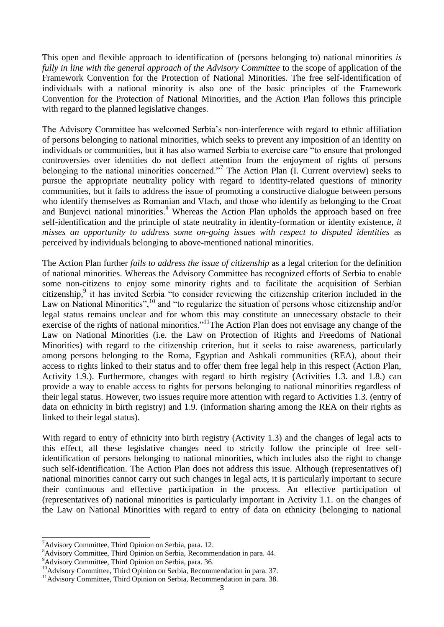This open and flexible approach to identification of (persons belonging to) national minorities *is fully in line with the general approach of the Advisory Committee* to the scope of application of the Framework Convention for the Protection of National Minorities. The free self-identification of individuals with a national minority is also one of the basic principles of the Framework Convention for the Protection of National Minorities, and the Action Plan follows this principle with regard to the planned legislative changes.

The Advisory Committee has welcomed Serbia's non-interference with regard to ethnic affiliation of persons belonging to national minorities, which seeks to prevent any imposition of an identity on individuals or communities, but it has also warned Serbia to exercise care "to ensure that prolonged controversies over identities do not deflect attention from the enjoyment of rights of persons belonging to the national minorities concerned."<sup>7</sup> The Action Plan (I. Current overview) seeks to pursue the appropriate neutrality policy with regard to identity-related questions of minority communities, but it fails to address the issue of promoting a constructive dialogue between persons who identify themselves as Romanian and Vlach, and those who identify as belonging to the Croat and Bunjevci national minorities.<sup>8</sup> Whereas the Action Plan upholds the approach based on free self-identification and the principle of state neutrality in identity-formation or identity existence, *it misses an opportunity to address some on-going issues with respect to disputed identities* as perceived by individuals belonging to above-mentioned national minorities.

The Action Plan further *fails to address the issue of citizenship* as a legal criterion for the definition of national minorities. Whereas the Advisory Committee has recognized efforts of Serbia to enable some non-citizens to enjoy some minority rights and to facilitate the acquisition of Serbian citizenship,<sup>9</sup> it has invited Serbia "to consider reviewing the citizenship criterion included in the Law on National Minorities",<sup>10</sup> and "to regularize the situation of persons whose citizenship and/or legal status remains unclear and for whom this may constitute an unnecessary obstacle to their exercise of the rights of national minorities."<sup>11</sup>The Action Plan does not envisage any change of the Law on National Minorities (i.e. the Law on Protection of Rights and Freedoms of National Minorities) with regard to the citizenship criterion, but it seeks to raise awareness, particularly among persons belonging to the Roma, Egyptian and Ashkali communities (REA), about their access to rights linked to their status and to offer them free legal help in this respect (Action Plan, Activity 1.9.). Furthermore, changes with regard to birth registry (Activities 1.3. and 1.8.) can provide a way to enable access to rights for persons belonging to national minorities regardless of their legal status. However, two issues require more attention with regard to Activities 1.3. (entry of data on ethnicity in birth registry) and 1.9. (information sharing among the REA on their rights as linked to their legal status).

With regard to entry of ethnicity into birth registry (Activity 1.3) and the changes of legal acts to this effect, all these legislative changes need to strictly follow the principle of free selfidentification of persons belonging to national minorities, which includes also the right to change such self-identification. The Action Plan does not address this issue. Although (representatives of) national minorities cannot carry out such changes in legal acts, it is particularly important to secure their continuous and effective participation in the process. An effective participation of (representatives of) national minorities is particularly important in Activity 1.1. on the changes of the Law on National Minorities with regard to entry of data on ethnicity (belonging to national

 $^7$ Advisory Committee, Third Opinion on Serbia, para. 12.

<sup>&</sup>lt;sup>8</sup>Advisory Committee, Third Opinion on Serbia, Recommendation in para. 44.

<sup>&</sup>lt;sup>9</sup>Advisory Committee, Third Opinion on Serbia, para. 36.

<sup>&</sup>lt;sup>10</sup>Advisory Committee, Third Opinion on Serbia, Recommendation in para. 37.

<sup>&</sup>lt;sup>11</sup>Advisory Committee, Third Opinion on Serbia, Recommendation in para. 38.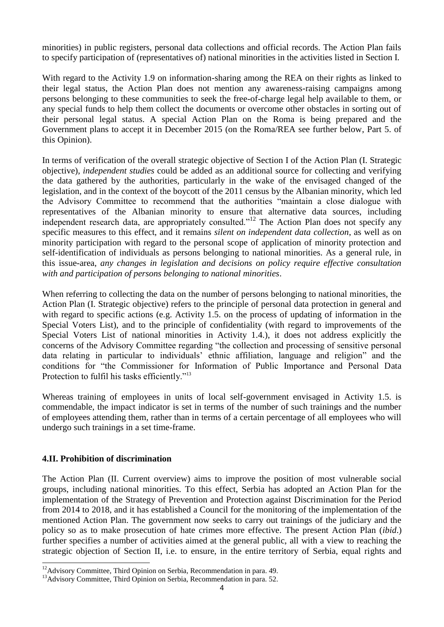minorities) in public registers, personal data collections and official records. The Action Plan fails to specify participation of (representatives of) national minorities in the activities listed in Section I.

With regard to the Activity 1.9 on information-sharing among the REA on their rights as linked to their legal status, the Action Plan does not mention any awareness-raising campaigns among persons belonging to these communities to seek the free-of-charge legal help available to them, or any special funds to help them collect the documents or overcome other obstacles in sorting out of their personal legal status. A special Action Plan on the Roma is being prepared and the Government plans to accept it in December 2015 (on the Roma/REA see further below, Part 5. of this Opinion).

In terms of verification of the overall strategic objective of Section I of the Action Plan (I. Strategic objective), *independent studies* could be added as an additional source for collecting and verifying the data gathered by the authorities, particularly in the wake of the envisaged changed of the legislation, and in the context of the boycott of the 2011 census by the Albanian minority, which led the Advisory Committee to recommend that the authorities "maintain a close dialogue with representatives of the Albanian minority to ensure that alternative data sources, including independent research data, are appropriately consulted."<sup>12</sup> The Action Plan does not specify any specific measures to this effect, and it remains *silent on independent data collection*, as well as on minority participation with regard to the personal scope of application of minority protection and self-identification of individuals as persons belonging to national minorities. As a general rule, in this issue-area, *any changes in legislation and decisions on policy require effective consultation with and participation of persons belonging to national minorities*.

When referring to collecting the data on the number of persons belonging to national minorities, the Action Plan (I. Strategic objective) refers to the principle of personal data protection in general and with regard to specific actions (e.g. Activity 1.5. on the process of updating of information in the Special Voters List), and to the principle of confidentiality (with regard to improvements of the Special Voters List of national minorities in Activity 1.4.), it does not address explicitly the concerns of the Advisory Committee regarding "the collection and processing of sensitive personal data relating in particular to individuals' ethnic affiliation, language and religion" and the conditions for "the Commissioner for Information of Public Importance and Personal Data Protection to fulfil his tasks efficiently."<sup>13</sup>

Whereas training of employees in units of local self-government envisaged in Activity 1.5. is commendable, the impact indicator is set in terms of the number of such trainings and the number of employees attending them, rather than in terms of a certain percentage of all employees who will undergo such trainings in a set time-frame.

### **4.II. Prohibition of discrimination**

-

The Action Plan (II. Current overview) aims to improve the position of most vulnerable social groups, including national minorities. To this effect, Serbia has adopted an Action Plan for the implementation of the Strategy of Prevention and Protection against Discrimination for the Period from 2014 to 2018, and it has established a Council for the monitoring of the implementation of the mentioned Action Plan. The government now seeks to carry out trainings of the judiciary and the policy so as to make prosecution of hate crimes more effective. The present Action Plan (*ibid*.) further specifies a number of activities aimed at the general public, all with a view to reaching the strategic objection of Section II, i.e. to ensure, in the entire territory of Serbia, equal rights and

 $12A$ dvisory Committee, Third Opinion on Serbia, Recommendation in para. 49.

<sup>&</sup>lt;sup>13</sup>Advisory Committee, Third Opinion on Serbia, Recommendation in para. 52.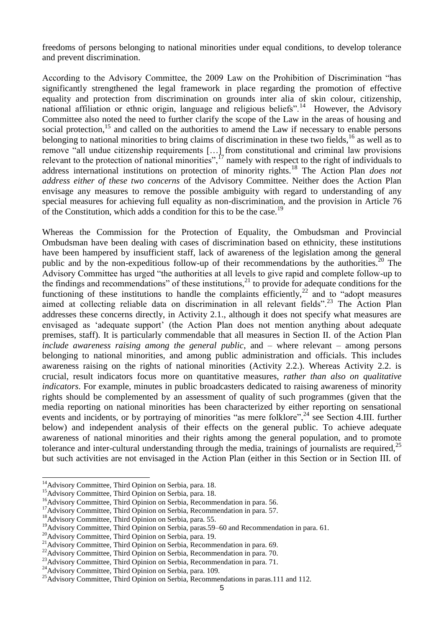freedoms of persons belonging to national minorities under equal conditions, to develop tolerance and prevent discrimination.

According to the Advisory Committee, the 2009 Law on the Prohibition of Discrimination "has significantly strengthened the legal framework in place regarding the promotion of effective equality and protection from discrimination on grounds inter alia of skin colour, citizenship, national affiliation or ethnic origin, language and religious beliefs".<sup>14</sup> However, the Advisory Committee also noted the need to further clarify the scope of the Law in the areas of housing and social protection,<sup>15</sup> and called on the authorities to amend the Law if necessary to enable persons belonging to national minorities to bring claims of discrimination in these two fields,  $^{16}$  as well as to remove "all undue citizenship requirements […] from constitutional and criminal law provisions relevant to the protection of national minorities",  $^{17}$  namely with respect to the right of individuals to address international institutions on protection of minority rights.<sup>18</sup> The Action Plan *does not address either of these two concerns* of the Advisory Committee. Neither does the Action Plan envisage any measures to remove the possible ambiguity with regard to understanding of any special measures for achieving full equality as non-discrimination, and the provision in Article 76 of the Constitution, which adds a condition for this to be the case.<sup>19</sup>

Whereas the Commission for the Protection of Equality, the Ombudsman and Provincial Ombudsman have been dealing with cases of discrimination based on ethnicity, these institutions have been hampered by insufficient staff, lack of awareness of the legislation among the general public and by the non-expeditious follow-up of their recommendations by the authorities.<sup>20</sup> The Advisory Committee has urged "the authorities at all levels to give rapid and complete follow-up to the findings and recommendations" of these institutions, $^{21}$  to provide for adequate conditions for the functioning of these institutions to handle the complaints efficiently,  $22$  and to "adopt measures" aimed at collecting reliable data on discrimination in all relevant fields".<sup>23</sup> The Action Plan addresses these concerns directly, in Activity 2.1., although it does not specify what measures are envisaged as 'adequate support' (the Action Plan does not mention anything about adequate premises, staff). It is particularly commendable that all measures in Section II. of the Action Plan *include awareness raising among the general public*, and – where relevant – among persons belonging to national minorities, and among public administration and officials. This includes awareness raising on the rights of national minorities (Activity 2.2.). Whereas Activity 2.2. is crucial, result indicators focus more on quantitative measures, *rather than also on qualitative indicators*. For example, minutes in public broadcasters dedicated to raising awareness of minority rights should be complemented by an assessment of quality of such programmes (given that the media reporting on national minorities has been characterized by either reporting on sensational events and incidents, or by portraying of minorities "as mere folklore",<sup>24</sup> see Section 4.III. further below) and independent analysis of their effects on the general public. To achieve adequate awareness of national minorities and their rights among the general population, and to promote tolerance and inter-cultural understanding through the media, trainings of journalists are required, $^{25}$ but such activities are not envisaged in the Action Plan (either in this Section or in Section III. of

<sup>&</sup>lt;sup>14</sup>Advisory Committee, Third Opinion on Serbia, para. 18.

<sup>&</sup>lt;sup>15</sup>Advisory Committee, Third Opinion on Serbia, para. 18.

<sup>&</sup>lt;sup>16</sup>Advisory Committee, Third Opinion on Serbia, Recommendation in para. 56.

<sup>&</sup>lt;sup>17</sup>Advisory Committee, Third Opinion on Serbia, Recommendation in para. 57.

<sup>&</sup>lt;sup>18</sup>Advisory Committee, Third Opinion on Serbia, para. 55.

<sup>&</sup>lt;sup>19</sup>Advisory Committee, Third Opinion on Serbia, paras.59–60 and Recommendation in para. 61.

<sup>&</sup>lt;sup>20</sup>Advisory Committee, Third Opinion on Serbia, para. 19.

<sup>&</sup>lt;sup>21</sup>Advisory Committee, Third Opinion on Serbia, Recommendation in para. 69.

<sup>&</sup>lt;sup>22</sup>Advisory Committee, Third Opinion on Serbia, Recommendation in para. 70.

<sup>&</sup>lt;sup>23</sup>Advisory Committee, Third Opinion on Serbia, Recommendation in para. 71.

<sup>&</sup>lt;sup>24</sup>Advisory Committee, Third Opinion on Serbia, para. 109.

<sup>&</sup>lt;sup>25</sup>Advisory Committee, Third Opinion on Serbia, Recommendations in paras.111 and 112.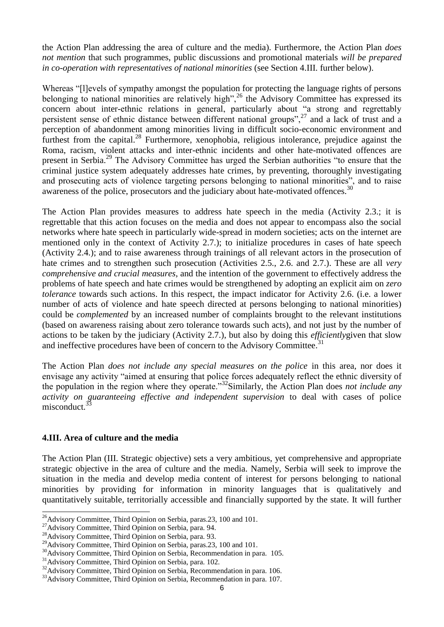the Action Plan addressing the area of culture and the media). Furthermore, the Action Plan *does not mention* that such programmes, public discussions and promotional materials *will be prepared in co-operation with representatives of national minorities* (see Section 4.III. further below).

Whereas "[l]evels of sympathy amongst the population for protecting the language rights of persons belonging to national minorities are relatively high",<sup>26</sup> the Advisory Committee has expressed its concern about inter-ethnic relations in general, particularly about "a strong and regrettably persistent sense of ethnic distance between different national groups",<sup>27</sup> and a lack of trust and a perception of abandonment among minorities living in difficult socio-economic environment and furthest from the capital.<sup>28</sup> Furthermore, xenophobia, religious intolerance, prejudice against the Roma, racism, violent attacks and inter-ethnic incidents and other hate-motivated offences are present in Serbia.<sup>29</sup> The Advisory Committee has urged the Serbian authorities "to ensure that the criminal justice system adequately addresses hate crimes, by preventing, thoroughly investigating and prosecuting acts of violence targeting persons belonging to national minorities", and to raise awareness of the police, prosecutors and the judiciary about hate-motivated offences.<sup>30</sup>

The Action Plan provides measures to address hate speech in the media (Activity 2.3.; it is regrettable that this action focuses on the media and does not appear to encompass also the social networks where hate speech in particularly wide-spread in modern societies; acts on the internet are mentioned only in the context of Activity 2.7.); to initialize procedures in cases of hate speech (Activity 2.4.); and to raise awareness through trainings of all relevant actors in the prosecution of hate crimes and to strengthen such prosecution (Activities 2.5., 2.6. and 2.7.). These are all *very comprehensive and crucial measures*, and the intention of the government to effectively address the problems of hate speech and hate crimes would be strengthened by adopting an explicit aim on *zero tolerance* towards such actions. In this respect, the impact indicator for Activity 2.6. (i.e. a lower number of acts of violence and hate speech directed at persons belonging to national minorities) could be *complemented* by an increased number of complaints brought to the relevant institutions (based on awareness raising about zero tolerance towards such acts), and not just by the number of actions to be taken by the judiciary (Activity 2.7.), but also by doing this *efficiently*given that slow and ineffective procedures have been of concern to the Advisory Committee.<sup>31</sup>

The Action Plan *does not include any special measures on the police* in this area, nor does it envisage any activity "aimed at ensuring that police forces adequately reflect the ethnic diversity of the population in the region where they operate."<sup>32</sup>Similarly, the Action Plan does *not include any activity on guaranteeing effective and independent supervision* to deal with cases of police misconduct.<sup>3</sup>

#### **4.III. Area of culture and the media**

The Action Plan (III. Strategic objective) sets a very ambitious, yet comprehensive and appropriate strategic objective in the area of culture and the media. Namely, Serbia will seek to improve the situation in the media and develop media content of interest for persons belonging to national minorities by providing for information in minority languages that is qualitatively and quantitatively suitable, territorially accessible and financially supported by the state. It will further

<sup>-</sup> $^{26}$ Advisory Committee, Third Opinion on Serbia, paras. 23, 100 and 101.

<sup>&</sup>lt;sup>27</sup>Advisory Committee, Third Opinion on Serbia, para. 94.

<sup>&</sup>lt;sup>28</sup>Advisory Committee, Third Opinion on Serbia, para. 93.

<sup>&</sup>lt;sup>29</sup>Advisory Committee, Third Opinion on Serbia, paras.23, 100 and 101.

<sup>&</sup>lt;sup>30</sup>Advisory Committee, Third Opinion on Serbia, Recommendation in para. 105.

<sup>31</sup>Advisory Committee, Third Opinion on Serbia, para. 102.

<sup>&</sup>lt;sup>32</sup>Advisory Committee, Third Opinion on Serbia, Recommendation in para. 106.

<sup>&</sup>lt;sup>33</sup>Advisory Committee, Third Opinion on Serbia, Recommendation in para. 107.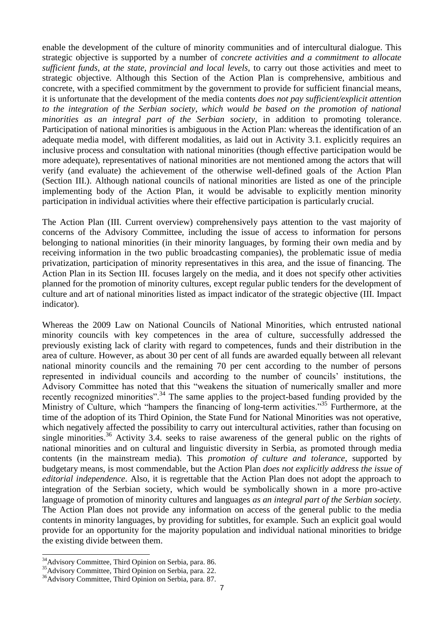enable the development of the culture of minority communities and of intercultural dialogue. This strategic objective is supported by a number of *concrete activities and a commitment to allocate sufficient funds, at the state, provincial and local levels,* to carry out those activities and meet to strategic objective. Although this Section of the Action Plan is comprehensive, ambitious and concrete, with a specified commitment by the government to provide for sufficient financial means, it is unfortunate that the development of the media contents *does not pay sufficient/explicit attention to the integration of the Serbian society, which would be based on the promotion of national minorities as an integral part of the Serbian society*, in addition to promoting tolerance. Participation of national minorities is ambiguous in the Action Plan: whereas the identification of an adequate media model, with different modalities, as laid out in Activity 3.1. explicitly requires an inclusive process and consultation with national minorities (though effective participation would be more adequate), representatives of national minorities are not mentioned among the actors that will verify (and evaluate) the achievement of the otherwise well-defined goals of the Action Plan (Section III.). Although national councils of national minorities are listed as one of the principle implementing body of the Action Plan, it would be advisable to explicitly mention minority participation in individual activities where their effective participation is particularly crucial.

The Action Plan (III. Current overview) comprehensively pays attention to the vast majority of concerns of the Advisory Committee, including the issue of access to information for persons belonging to national minorities (in their minority languages, by forming their own media and by receiving information in the two public broadcasting companies), the problematic issue of media privatization, participation of minority representatives in this area, and the issue of financing. The Action Plan in its Section III. focuses largely on the media, and it does not specify other activities planned for the promotion of minority cultures, except regular public tenders for the development of culture and art of national minorities listed as impact indicator of the strategic objective (III. Impact indicator).

Whereas the 2009 Law on National Councils of National Minorities, which entrusted national minority councils with key competences in the area of culture, successfully addressed the previously existing lack of clarity with regard to competences, funds and their distribution in the area of culture. However, as about 30 per cent of all funds are awarded equally between all relevant national minority councils and the remaining 70 per cent according to the number of persons represented in individual councils and according to the number of councils' institutions, the Advisory Committee has noted that this "weakens the situation of numerically smaller and more recently recognized minorities".<sup>34</sup> The same applies to the project-based funding provided by the Ministry of Culture, which "hampers the financing of long-term activities."<sup>35</sup> Furthermore, at the time of the adoption of its Third Opinion, the State Fund for National Minorities was not operative, which negatively affected the possibility to carry out intercultural activities, rather than focusing on single minorities.<sup>36</sup> Activity 3.4. seeks to raise awareness of the general public on the rights of national minorities and on cultural and linguistic diversity in Serbia, as promoted through media contents (in the mainstream media). This *promotion of culture and tolerance*, supported by budgetary means, is most commendable, but the Action Plan *does not explicitly address the issue of editorial independence*. Also, it is regrettable that the Action Plan does not adopt the approach to integration of the Serbian society, which would be symbolically shown in a more pro-active language of promotion of minority cultures and languages *as an integral part of the Serbian society.* The Action Plan does not provide any information on access of the general public to the media contents in minority languages, by providing for subtitles, for example. Such an explicit goal would provide for an opportunity for the majority population and individual national minorities to bridge the existing divide between them.

<sup>&</sup>lt;sup>34</sup>Advisory Committee, Third Opinion on Serbia, para. 86.

<sup>35</sup>Advisory Committee, Third Opinion on Serbia, para. 22.

<sup>&</sup>lt;sup>36</sup>Advisory Committee, Third Opinion on Serbia, para. 87.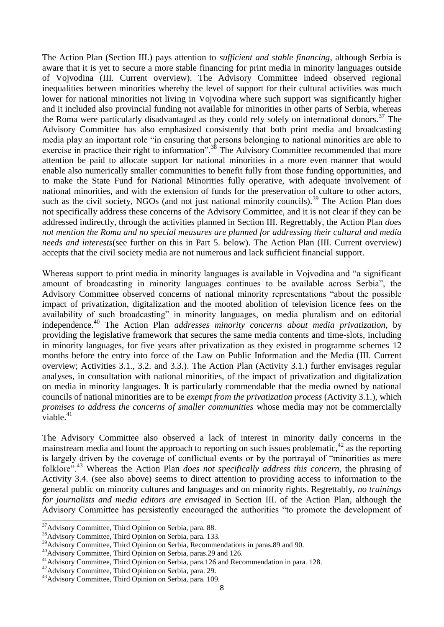The Action Plan (Section III.) pays attention to *sufficient and stable financing*, although Serbia is aware that it is yet to secure a more stable financing for print media in minority languages outside of Vojvodina (III. Current overview). The Advisory Committee indeed observed regional inequalities between minorities whereby the level of support for their cultural activities was much lower for national minorities not living in Vojvodina where such support was significantly higher and it included also provincial funding not available for minorities in other parts of Serbia, whereas the Roma were particularly disadvantaged as they could rely solely on international donors.<sup>37</sup> The Advisory Committee has also emphasized consistently that both print media and broadcasting media play an important role "in ensuring that persons belonging to national minorities are able to exercise in practice their right to information".<sup>38</sup> The Advisory Committee recommended that more attention be paid to allocate support for national minorities in a more even manner that would enable also numerically smaller communities to benefit fully from those funding opportunities, and to make the State Fund for National Minorities fully operative, with adequate involvement of national minorities, and with the extension of funds for the preservation of culture to other actors, such as the civil society, NGOs (and not just national minority councils).<sup>39</sup> The Action Plan does not specifically address these concerns of the Advisory Committee, and it is not clear if they can be addressed indirectly, through the activities planned in Section III. Regrettably, the Action Plan *does not mention the Roma and no special measures are planned for addressing their cultural and media needs and interests*(see further on this in Part 5. below). The Action Plan (III. Current overview) accepts that the civil society media are not numerous and lack sufficient financial support.

Whereas support to print media in minority languages is available in Vojvodina and "a significant amount of broadcasting in minority languages continues to be available across Serbia", the Advisory Committee observed concerns of national minority representations "about the possible impact of privatization, digitalization and the mooted abolition of television licence fees on the availability of such broadcasting" in minority languages, on media pluralism and on editorial independence.<sup>40</sup> The Action Plan *addresses minority concerns about media privatization*, by providing the legislative framework that secures the same media contents and time-slots, including in minority languages, for five years after privatization as they existed in programme schemes 12 months before the entry into force of the Law on Public Information and the Media (III. Current overview; Activities 3.1., 3.2. and 3.3.). The Action Plan (Activity 3.1.) further envisages regular analyses, in consultation with national minorities, of the impact of privatization and digitalization on media in minority languages. It is particularly commendable that the media owned by national councils of national minorities are to be *exempt from the privatization process* (Activity 3.1.), which *promises to address the concerns of smaller communities* whose media may not be commercially viable. $41$ 

The Advisory Committee also observed a lack of interest in minority daily concerns in the mainstream media and fount the approach to reporting on such issues problematic, $42$  as the reporting is largely driven by the coverage of conflictual events or by the portrayal of "minorities as mere folklore".<sup>43</sup> Whereas the Action Plan *does not specifically address this concern*, the phrasing of Activity 3.4. (see also above) seems to direct attention to providing access to information to the general public on minority cultures and languages and on minority rights. Regrettably, *no trainings for journalists and media editors are envisaged* in Section III. of the Action Plan, although the Advisory Committee has persistently encouraged the authorities "to promote the development of

<sup>&</sup>lt;sup>37</sup>Advisory Committee, Third Opinion on Serbia, para. 88.

<sup>38</sup>Advisory Committee, Third Opinion on Serbia, para. 133.

<sup>&</sup>lt;sup>39</sup>Advisory Committee, Third Opinion on Serbia, Recommendations in paras.89 and 90.

<sup>40</sup>Advisory Committee, Third Opinion on Serbia, paras.29 and 126.

<sup>&</sup>lt;sup>41</sup>Advisory Committee, Third Opinion on Serbia, para.126 and Recommendation in para. 128.

<sup>42</sup>Advisory Committee, Third Opinion on Serbia, para. 29.

<sup>43</sup>Advisory Committee, Third Opinion on Serbia, para. 109.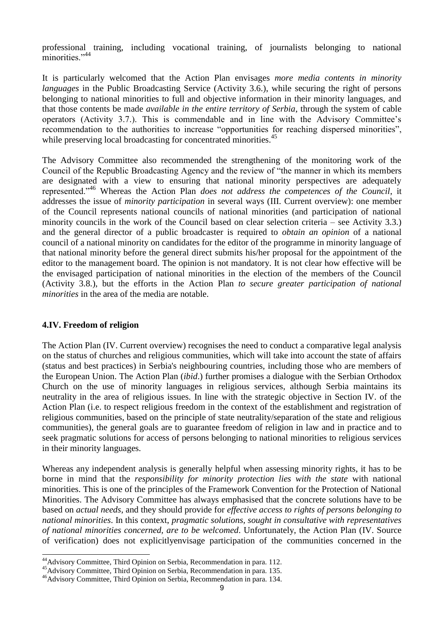professional training, including vocational training, of journalists belonging to national minorities<sup>"44</sup>

It is particularly welcomed that the Action Plan envisages *more media contents in minority languages* in the Public Broadcasting Service (Activity 3.6.), while securing the right of persons belonging to national minorities to full and objective information in their minority languages, and that those contents be made *available in the entire territory of Serbia*, through the system of cable operators (Activity 3.7.). This is commendable and in line with the Advisory Committee's recommendation to the authorities to increase "opportunities for reaching dispersed minorities", while preserving local broadcasting for concentrated minorities.<sup>45</sup>

The Advisory Committee also recommended the strengthening of the monitoring work of the Council of the Republic Broadcasting Agency and the review of "the manner in which its members are designated with a view to ensuring that national minority perspectives are adequately represented."<sup>46</sup> Whereas the Action Plan *does not address the competences of the Council*, it addresses the issue of *minority participation* in several ways (III. Current overview): one member of the Council represents national councils of national minorities (and participation of national minority councils in the work of the Council based on clear selection criteria – see Activity 3.3.) and the general director of a public broadcaster is required to *obtain an opinion* of a national council of a national minority on candidates for the editor of the programme in minority language of that national minority before the general direct submits his/her proposal for the appointment of the editor to the management board. The opinion is not mandatory. It is not clear how effective will be the envisaged participation of national minorities in the election of the members of the Council (Activity 3.8.), but the efforts in the Action Plan *to secure greater participation of national minorities* in the area of the media are notable.

#### **4.IV. Freedom of religion**

The Action Plan (IV. Current overview) recognises the need to conduct a comparative legal analysis on the status of churches and religious communities, which will take into account the state of affairs (status and best practices) in Serbia's neighbouring countries, including those who are members of the European Union. The Action Plan (*ibid*.) further promises a dialogue with the Serbian Orthodox Church on the use of minority languages in religious services, although Serbia maintains its neutrality in the area of religious issues. In line with the strategic objective in Section IV. of the Action Plan (i.e. to respect religious freedom in the context of the establishment and registration of religious communities, based on the principle of state neutrality/separation of the state and religious communities), the general goals are to guarantee freedom of religion in law and in practice and to seek pragmatic solutions for access of persons belonging to national minorities to religious services in their minority languages.

Whereas any independent analysis is generally helpful when assessing minority rights, it has to be borne in mind that the *responsibility for minority protection lies with the state* with national minorities. This is one of the principles of the Framework Convention for the Protection of National Minorities. The Advisory Committee has always emphasised that the concrete solutions have to be based on *actual needs*, and they should provide for *effective access to rights of persons belonging to national minorities*. In this context, *pragmatic solutions, sought in consultative with representatives of national minorities concerned, are to be welcomed*. Unfortunately, the Action Plan (IV. Source of verification) does not explicitlyenvisage participation of the communities concerned in the

<sup>1</sup> <sup>44</sup>Advisory Committee, Third Opinion on Serbia, Recommendation in para. 112.

<sup>&</sup>lt;sup>45</sup>Advisory Committee, Third Opinion on Serbia, Recommendation in para. 135.

<sup>&</sup>lt;sup>46</sup>Advisory Committee, Third Opinion on Serbia, Recommendation in para. 134.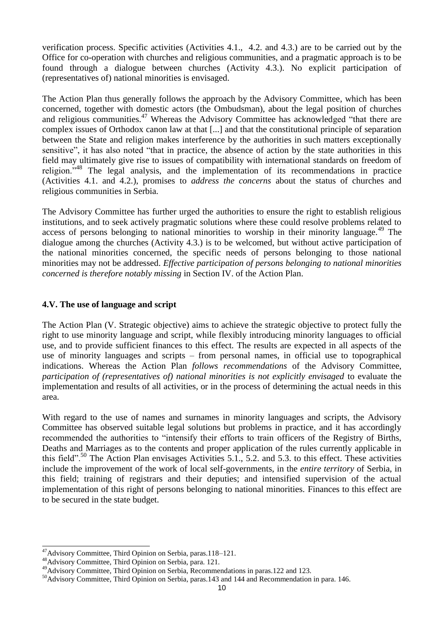verification process. Specific activities (Activities 4.1., 4.2. and 4.3.) are to be carried out by the Office for co-operation with churches and religious communities, and a pragmatic approach is to be found through a dialogue between churches (Activity 4.3.). No explicit participation of (representatives of) national minorities is envisaged.

The Action Plan thus generally follows the approach by the Advisory Committee, which has been concerned, together with domestic actors (the Ombudsman), about the legal position of churches and religious communities.<sup>47</sup> Whereas the Advisory Committee has acknowledged "that there are complex issues of Orthodox canon law at that [...] and that the constitutional principle of separation between the State and religion makes interference by the authorities in such matters exceptionally sensitive", it has also noted "that in practice, the absence of action by the state authorities in this field may ultimately give rise to issues of compatibility with international standards on freedom of religion."<sup>48</sup> The legal analysis, and the implementation of its recommendations in practice (Activities 4.1. and 4.2.), promises to *address the concerns* about the status of churches and religious communities in Serbia.

The Advisory Committee has further urged the authorities to ensure the right to establish religious institutions, and to seek actively pragmatic solutions where these could resolve problems related to access of persons belonging to national minorities to worship in their minority language.<sup>49</sup> The dialogue among the churches (Activity 4.3.) is to be welcomed, but without active participation of the national minorities concerned, the specific needs of persons belonging to those national minorities may not be addressed. *Effective participation of persons belonging to national minorities concerned is therefore notably missing* in Section IV. of the Action Plan.

### **4.V. The use of language and script**

The Action Plan (V. Strategic objective) aims to achieve the strategic objective to protect fully the right to use minority language and script, while flexibly introducing minority languages to official use, and to provide sufficient finances to this effect. The results are expected in all aspects of the use of minority languages and scripts – from personal names, in official use to topographical indications. Whereas the Action Plan *follows recommendations* of the Advisory Committee, *participation of (representatives of) national minorities is not explicitly envisaged* to evaluate the implementation and results of all activities, or in the process of determining the actual needs in this area.

With regard to the use of names and surnames in minority languages and scripts, the Advisory Committee has observed suitable legal solutions but problems in practice, and it has accordingly recommended the authorities to "intensify their efforts to train officers of the Registry of Births, Deaths and Marriages as to the contents and proper application of the rules currently applicable in this field".<sup>50</sup> The Action Plan envisages Activities 5.1., 5.2. and 5.3. to this effect. These activities include the improvement of the work of local self-governments, in the *entire territory* of Serbia, in this field; training of registrars and their deputies; and intensified supervision of the actual implementation of this right of persons belonging to national minorities. Finances to this effect are to be secured in the state budget.

<sup>&</sup>lt;sup>47</sup>Advisory Committee, Third Opinion on Serbia, paras.118–121.

<sup>48</sup>Advisory Committee, Third Opinion on Serbia, para. 121.

<sup>49</sup>Advisory Committee, Third Opinion on Serbia, Recommendations in paras.122 and 123.

<sup>&</sup>lt;sup>50</sup>Advisory Committee, Third Opinion on Serbia, paras.143 and 144 and Recommendation in para. 146.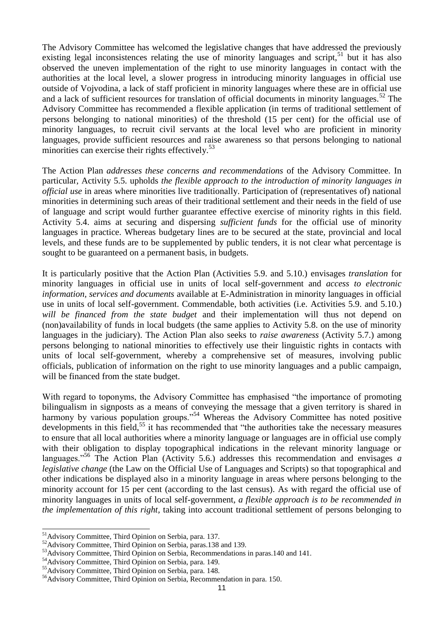The Advisory Committee has welcomed the legislative changes that have addressed the previously existing legal inconsistences relating the use of minority languages and script,  $51$  but it has also observed the uneven implementation of the right to use minority languages in contact with the authorities at the local level, a slower progress in introducing minority languages in official use outside of Vojvodina, a lack of staff proficient in minority languages where these are in official use and a lack of sufficient resources for translation of official documents in minority languages.<sup>52</sup> The Advisory Committee has recommended a flexible application (in terms of traditional settlement of persons belonging to national minorities) of the threshold (15 per cent) for the official use of minority languages, to recruit civil servants at the local level who are proficient in minority languages, provide sufficient resources and raise awareness so that persons belonging to national minorities can exercise their rights effectively. $53$ 

The Action Plan *addresses these concerns and recommendations* of the Advisory Committee. In particular, Activity 5.5. upholds *the flexible approach to the introduction of minority languages in official use* in areas where minorities live traditionally. Participation of (representatives of) national minorities in determining such areas of their traditional settlement and their needs in the field of use of language and script would further guarantee effective exercise of minority rights in this field. Activity 5.4. aims at securing and dispersing *sufficient funds* for the official use of minority languages in practice. Whereas budgetary lines are to be secured at the state, provincial and local levels, and these funds are to be supplemented by public tenders, it is not clear what percentage is sought to be guaranteed on a permanent basis, in budgets.

It is particularly positive that the Action Plan (Activities 5.9. and 5.10.) envisages *translation* for minority languages in official use in units of local self-government and *access to electronic information, services and documents* available at E-Administration in minority languages in official use in units of local self-government. Commendable, both activities (i.e. Activities 5.9. and 5.10.) *will be financed from the state budget* and their implementation will thus not depend on (non)availability of funds in local budgets (the same applies to Activity 5.8. on the use of minority languages in the judiciary). The Action Plan also seeks to *raise awareness* (Activity 5.7.) among persons belonging to national minorities to effectively use their linguistic rights in contacts with units of local self-government, whereby a comprehensive set of measures, involving public officials, publication of information on the right to use minority languages and a public campaign, will be financed from the state budget.

With regard to toponyms, the Advisory Committee has emphasised "the importance of promoting bilingualism in signposts as a means of conveying the message that a given territory is shared in harmony by various population groups."<sup>54</sup> Whereas the Advisory Committee has noted positive developments in this field,  $55$  it has recommended that "the authorities take the necessary measures" to ensure that all local authorities where a minority language or languages are in official use comply with their obligation to display topographical indications in the relevant minority language or languages."<sup>56</sup> The Action Plan (Activity 5.6.) addresses this recommendation and envisages *a legislative change* (the Law on the Official Use of Languages and Scripts) so that topographical and other indications be displayed also in a minority language in areas where persons belonging to the minority account for 15 per cent (according to the last census). As with regard the official use of minority languages in units of local self-government, *a flexible approach is to be recommended in the implementation of this right,* taking into account traditional settlement of persons belonging to

<sup>&</sup>lt;sup>51</sup>Advisory Committee, Third Opinion on Serbia, para. 137.

<sup>&</sup>lt;sup>52</sup>Advisory Committee, Third Opinion on Serbia, paras.138 and 139.

<sup>&</sup>lt;sup>53</sup>Advisory Committee, Third Opinion on Serbia, Recommendations in paras.140 and 141.

<sup>54</sup>Advisory Committee, Third Opinion on Serbia, para. 149.

<sup>55</sup>Advisory Committee, Third Opinion on Serbia, para. 148.

<sup>&</sup>lt;sup>56</sup>Advisory Committee, Third Opinion on Serbia, Recommendation in para. 150.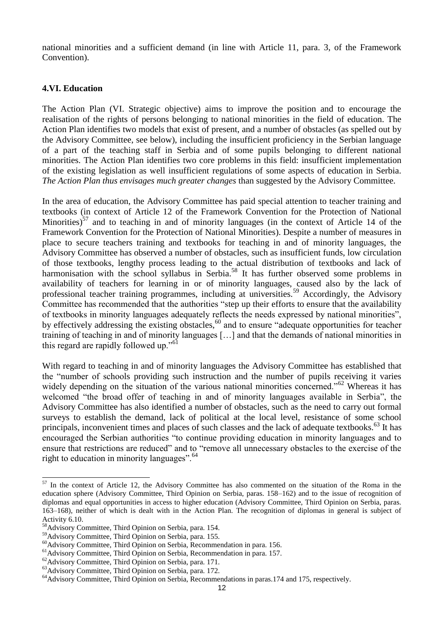national minorities and a sufficient demand (in line with Article 11, para. 3, of the Framework Convention).

#### **4.VI. Education**

The Action Plan (VI. Strategic objective) aims to improve the position and to encourage the realisation of the rights of persons belonging to national minorities in the field of education. The Action Plan identifies two models that exist of present, and a number of obstacles (as spelled out by the Advisory Committee, see below), including the insufficient proficiency in the Serbian language of a part of the teaching staff in Serbia and of some pupils belonging to different national minorities. The Action Plan identifies two core problems in this field: insufficient implementation of the existing legislation as well insufficient regulations of some aspects of education in Serbia. *The Action Plan thus envisages much greater changes* than suggested by the Advisory Committee.

In the area of education, the Advisory Committee has paid special attention to teacher training and textbooks (in context of Article 12 of the Framework Convention for the Protection of National Minorities) $57$  and to teaching in and of minority languages (in the context of Article 14 of the Framework Convention for the Protection of National Minorities). Despite a number of measures in place to secure teachers training and textbooks for teaching in and of minority languages, the Advisory Committee has observed a number of obstacles, such as insufficient funds, low circulation of those textbooks, lengthy process leading to the actual distribution of textbooks and lack of harmonisation with the school syllabus in Serbia.<sup>58</sup> It has further observed some problems in availability of teachers for learning in or of minority languages, caused also by the lack of professional teacher training programmes, including at universities.<sup>59</sup> Accordingly, the Advisory Committee has recommended that the authorities "step up their efforts to ensure that the availability of textbooks in minority languages adequately reflects the needs expressed by national minorities", by effectively addressing the existing obstacles,<sup>60</sup> and to ensure "adequate opportunities for teacher training of teaching in and of minority languages […] and that the demands of national minorities in this regard are rapidly followed up."<sup>61</sup>

With regard to teaching in and of minority languages the Advisory Committee has established that the "number of schools providing such instruction and the number of pupils receiving it varies widely depending on the situation of the various national minorities concerned."<sup>62</sup> Whereas it has welcomed "the broad offer of teaching in and of minority languages available in Serbia", the Advisory Committee has also identified a number of obstacles, such as the need to carry out formal surveys to establish the demand, lack of political at the local level, resistance of some school principals, inconvenient times and places of such classes and the lack of adequate textbooks.<sup>63</sup> It has encouraged the Serbian authorities "to continue providing education in minority languages and to ensure that restrictions are reduced" and to "remove all unnecessary obstacles to the exercise of the right to education in minority languages".<sup>64</sup>

 $57$  In the context of Article 12, the Advisory Committee has also commented on the situation of the Roma in the education sphere (Advisory Committee, Third Opinion on Serbia, paras. 158–162) and to the issue of recognition of diplomas and equal opportunities in access to higher education (Advisory Committee, Third Opinion on Serbia, paras. 163–168), neither of which is dealt with in the Action Plan. The recognition of diplomas in general is subject of Activity 6.10.

<sup>58</sup>Advisory Committee, Third Opinion on Serbia, para. 154.

<sup>59</sup>Advisory Committee, Third Opinion on Serbia, para. 155.

<sup>&</sup>lt;sup>60</sup>Advisory Committee, Third Opinion on Serbia, Recommendation in para. 156.

<sup>&</sup>lt;sup>61</sup>Advisory Committee, Third Opinion on Serbia, Recommendation in para. 157.

<sup>&</sup>lt;sup>62</sup>Advisory Committee, Third Opinion on Serbia, para. 171.

<sup>63</sup>Advisory Committee, Third Opinion on Serbia, para. 172.

<sup>&</sup>lt;sup>64</sup>Advisory Committee, Third Opinion on Serbia, Recommendations in paras.174 and 175, respectively.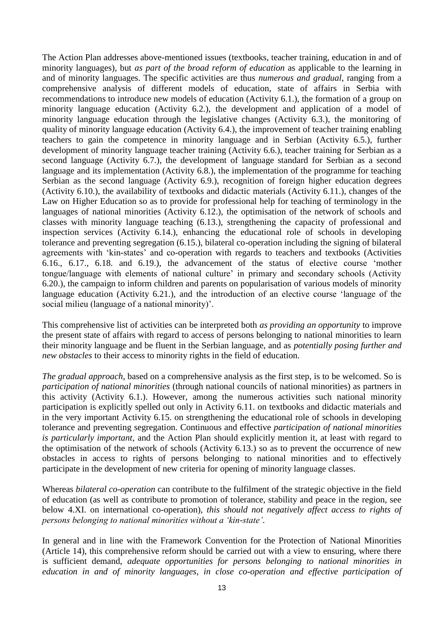The Action Plan addresses above-mentioned issues (textbooks, teacher training, education in and of minority languages), but *as part of the broad reform of education* as applicable to the learning in and of minority languages. The specific activities are thus *numerous and gradual*, ranging from a comprehensive analysis of different models of education, state of affairs in Serbia with recommendations to introduce new models of education (Activity 6.1.), the formation of a group on minority language education (Activity 6.2.), the development and application of a model of minority language education through the legislative changes (Activity 6.3.), the monitoring of quality of minority language education (Activity 6.4.), the improvement of teacher training enabling teachers to gain the competence in minority language and in Serbian (Activity 6.5.), further development of minority language teacher training (Activity 6.6.), teacher training for Serbian as a second language (Activity 6.7.), the development of language standard for Serbian as a second language and its implementation (Activity 6.8.), the implementation of the programme for teaching Serbian as the second language (Activity 6.9.), recognition of foreign higher education degrees (Activity 6.10.), the availability of textbooks and didactic materials (Activity 6.11.), changes of the Law on Higher Education so as to provide for professional help for teaching of terminology in the languages of national minorities (Activity 6.12.), the optimisation of the network of schools and classes with minority language teaching (6.13.), strengthening the capacity of professional and inspection services (Activity 6.14.), enhancing the educational role of schools in developing tolerance and preventing segregation (6.15.), bilateral co-operation including the signing of bilateral agreements with 'kin-states' and co-operation with regards to teachers and textbooks (Activities 6.16., 6.17., 6.18. and 6.19.), the advancement of the status of elective course 'mother tongue/language with elements of national culture' in primary and secondary schools (Activity 6.20.), the campaign to inform children and parents on popularisation of various models of minority language education (Activity 6.21.), and the introduction of an elective course 'language of the social milieu (language of a national minority)'.

This comprehensive list of activities can be interpreted both *as providing an opportunity* to improve the present state of affairs with regard to access of persons belonging to national minorities to learn their minority language and be fluent in the Serbian language, and as *potentially posing further and new obstacles* to their access to minority rights in the field of education.

*The gradual approach*, based on a comprehensive analysis as the first step, is to be welcomed. So is *participation of national minorities* (through national councils of national minorities) as partners in this activity (Activity 6.1.). However, among the numerous activities such national minority participation is explicitly spelled out only in Activity 6.11. on textbooks and didactic materials and in the very important Activity 6.15. on strengthening the educational role of schools in developing tolerance and preventing segregation. Continuous and effective *participation of national minorities is particularly important*, and the Action Plan should explicitly mention it, at least with regard to the optimisation of the network of schools (Activity 6.13.) so as to prevent the occurrence of new obstacles in access to rights of persons belonging to national minorities and to effectively participate in the development of new criteria for opening of minority language classes.

Whereas *bilateral co-operation* can contribute to the fulfilment of the strategic objective in the field of education (as well as contribute to promotion of tolerance, stability and peace in the region, see below 4.XI. on international co-operation), *this should not negatively affect access to rights of persons belonging to national minorities without a 'kin-state'*.

In general and in line with the Framework Convention for the Protection of National Minorities (Article 14), this comprehensive reform should be carried out with a view to ensuring, where there is sufficient demand, *adequate opportunities for persons belonging to national minorities in education in and of minority languages*, *in close co-operation and effective participation of*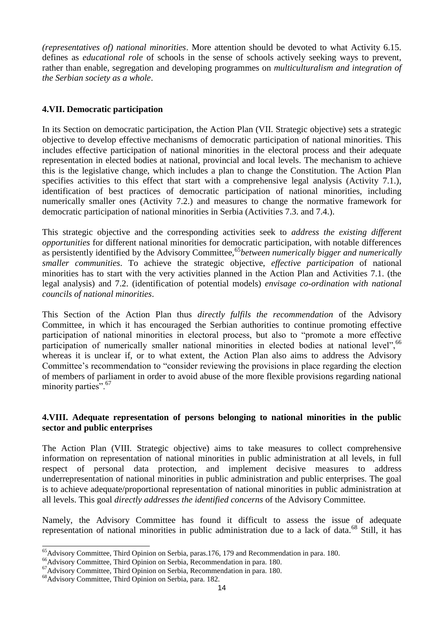*(representatives of) national minorities*. More attention should be devoted to what Activity 6.15. defines as *educational role* of schools in the sense of schools actively seeking ways to prevent, rather than enable, segregation and developing programmes on *multiculturalism and integration of the Serbian society as a whole*.

### **4.VII. Democratic participation**

In its Section on democratic participation, the Action Plan (VII. Strategic objective) sets a strategic objective to develop effective mechanisms of democratic participation of national minorities. This includes effective participation of national minorities in the electoral process and their adequate representation in elected bodies at national, provincial and local levels. The mechanism to achieve this is the legislative change, which includes a plan to change the Constitution. The Action Plan specifies activities to this effect that start with a comprehensive legal analysis (Activity 7.1.), identification of best practices of democratic participation of national minorities, including numerically smaller ones (Activity 7.2.) and measures to change the normative framework for democratic participation of national minorities in Serbia (Activities 7.3. and 7.4.).

This strategic objective and the corresponding activities seek to *address the existing different opportunities* for different national minorities for democratic participation, with notable differences as persistently identified by the Advisory Committee,<sup>65</sup>between numerically bigger and numerically *smaller communities*. To achieve the strategic objective, *effective participation* of national minorities has to start with the very activities planned in the Action Plan and Activities 7.1. (the legal analysis) and 7.2. (identification of potential models) *envisage co-ordination with national councils of national minorities*.

This Section of the Action Plan thus *directly fulfils the recommendation* of the Advisory Committee, in which it has encouraged the Serbian authorities to continue promoting effective participation of national minorities in electoral process, but also to "promote a more effective participation of numerically smaller national minorities in elected bodies at national level".<sup>66</sup> whereas it is unclear if, or to what extent, the Action Plan also aims to address the Advisory Committee's recommendation to "consider reviewing the provisions in place regarding the election of members of parliament in order to avoid abuse of the more flexible provisions regarding national minority parties".<sup>67</sup>

#### **4.VIII. Adequate representation of persons belonging to national minorities in the public sector and public enterprises**

The Action Plan (VIII. Strategic objective) aims to take measures to collect comprehensive information on representation of national minorities in public administration at all levels, in full respect of personal data protection, and implement decisive measures to address underrepresentation of national minorities in public administration and public enterprises. The goal is to achieve adequate/proportional representation of national minorities in public administration at all levels. This goal *directly addresses the identified concerns* of the Advisory Committee.

Namely, the Advisory Committee has found it difficult to assess the issue of adequate representation of national minorities in public administration due to a lack of data.<sup>68</sup> Still, it has

<sup>&</sup>lt;sup>65</sup>Advisory Committee, Third Opinion on Serbia, paras.176, 179 and Recommendation in para. 180.

<sup>&</sup>lt;sup>66</sup>Advisory Committee, Third Opinion on Serbia, Recommendation in para. 180.

<sup>67</sup>Advisory Committee, Third Opinion on Serbia, Recommendation in para. 180.

<sup>68</sup>Advisory Committee, Third Opinion on Serbia, para. 182.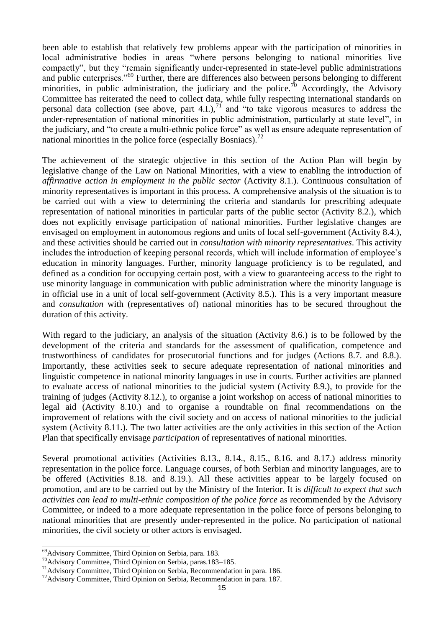been able to establish that relatively few problems appear with the participation of minorities in local administrative bodies in areas "where persons belonging to national minorities live compactly", but they "remain significantly under-represented in state-level public administrations and public enterprises."<sup>69</sup> Further, there are differences also between persons belonging to different minorities, in public administration, the judiciary and the police.<sup>70</sup> Accordingly, the Advisory Committee has reiterated the need to collect data, while fully respecting international standards on personal data collection (see above, part 4.I.), $^{71}$  and "to take vigorous measures to address the under-representation of national minorities in public administration, particularly at state level", in the judiciary, and "to create a multi-ethnic police force" as well as ensure adequate representation of national minorities in the police force (especially Bosniacs).<sup>72</sup>

The achievement of the strategic objective in this section of the Action Plan will begin by legislative change of the Law on National Minorities, with a view to enabling the introduction of *affirmative action in employment in the public sector* (Activity 8.1.). Continuous consultation of minority representatives is important in this process. A comprehensive analysis of the situation is to be carried out with a view to determining the criteria and standards for prescribing adequate representation of national minorities in particular parts of the public sector (Activity 8.2.), which does not explicitly envisage participation of national minorities. Further legislative changes are envisaged on employment in autonomous regions and units of local self-government (Activity 8.4.), and these activities should be carried out in *consultation with minority representatives*. This activity includes the introduction of keeping personal records, which will include information of employee's education in minority languages. Further, minority language proficiency is to be regulated, and defined as a condition for occupying certain post, with a view to guaranteeing access to the right to use minority language in communication with public administration where the minority language is in official use in a unit of local self-government (Activity 8.5.). This is a very important measure and *consultation* with (representatives of) national minorities has to be secured throughout the duration of this activity.

With regard to the judiciary, an analysis of the situation (Activity 8.6.) is to be followed by the development of the criteria and standards for the assessment of qualification, competence and trustworthiness of candidates for prosecutorial functions and for judges (Actions 8.7. and 8.8.). Importantly, these activities seek to secure adequate representation of national minorities and linguistic competence in national minority languages in use in courts. Further activities are planned to evaluate access of national minorities to the judicial system (Activity 8.9.), to provide for the training of judges (Activity 8.12.), to organise a joint workshop on access of national minorities to legal aid (Activity 8.10.) and to organise a roundtable on final recommendations on the improvement of relations with the civil society and on access of national minorities to the judicial system (Activity 8.11.). The two latter activities are the only activities in this section of the Action Plan that specifically envisage *participation* of representatives of national minorities.

Several promotional activities (Activities 8.13., 8.14., 8.15., 8.16. and 8.17.) address minority representation in the police force. Language courses, of both Serbian and minority languages, are to be offered (Activities 8.18. and 8.19.). All these activities appear to be largely focused on promotion, and are to be carried out by the Ministry of the Interior. It is *difficult to expect that such activities can lead to multi-ethnic composition of the police force* as recommended by the Advisory Committee, or indeed to a more adequate representation in the police force of persons belonging to national minorities that are presently under-represented in the police. No participation of national minorities, the civil society or other actors is envisaged.

<sup>69</sup>Advisory Committee, Third Opinion on Serbia, para. 183.

<sup>70</sup>Advisory Committee, Third Opinion on Serbia, paras.183–185.

<sup>71</sup>Advisory Committee, Third Opinion on Serbia, Recommendation in para. 186.

<sup>&</sup>lt;sup>72</sup>Advisory Committee, Third Opinion on Serbia, Recommendation in para. 187.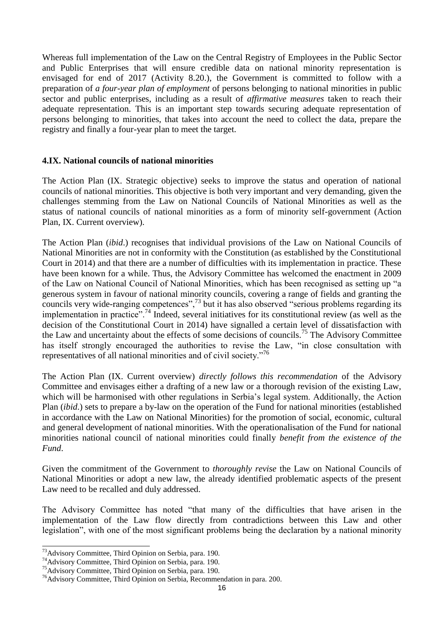Whereas full implementation of the Law on the Central Registry of Employees in the Public Sector and Public Enterprises that will ensure credible data on national minority representation is envisaged for end of 2017 (Activity 8.20.), the Government is committed to follow with a preparation of *a four-year plan of employment* of persons belonging to national minorities in public sector and public enterprises, including as a result of *affirmative measures* taken to reach their adequate representation. This is an important step towards securing adequate representation of persons belonging to minorities, that takes into account the need to collect the data, prepare the registry and finally a four-year plan to meet the target.

#### **4.IX. National councils of national minorities**

The Action Plan (IX. Strategic objective) seeks to improve the status and operation of national councils of national minorities. This objective is both very important and very demanding, given the challenges stemming from the Law on National Councils of National Minorities as well as the status of national councils of national minorities as a form of minority self-government (Action Plan, IX. Current overview).

The Action Plan (*ibid*.) recognises that individual provisions of the Law on National Councils of National Minorities are not in conformity with the Constitution (as established by the Constitutional Court in 2014) and that there are a number of difficulties with its implementation in practice. These have been known for a while. Thus, the Advisory Committee has welcomed the enactment in 2009 of the Law on National Council of National Minorities, which has been recognised as setting up "a generous system in favour of national minority councils, covering a range of fields and granting the councils very wide-ranging competences",<sup>73</sup> but it has also observed "serious problems regarding its implementation in practice".<sup>74</sup> Indeed, several initiatives for its constitutional review (as well as the decision of the Constitutional Court in 2014) have signalled a certain level of dissatisfaction with the Law and uncertainty about the effects of some decisions of councils.<sup>75</sup> The Advisory Committee has itself strongly encouraged the authorities to revise the Law, "in close consultation with representatives of all national minorities and of civil society."<sup>76</sup>

The Action Plan (IX. Current overview) *directly follows this recommendation* of the Advisory Committee and envisages either a drafting of a new law or a thorough revision of the existing Law, which will be harmonised with other regulations in Serbia's legal system. Additionally, the Action Plan (*ibid*.) sets to prepare a by-law on the operation of the Fund for national minorities (established in accordance with the Law on National Minorities) for the promotion of social, economic, cultural and general development of national minorities. With the operationalisation of the Fund for national minorities national council of national minorities could finally *benefit from the existence of the Fund*.

Given the commitment of the Government to *thoroughly revise* the Law on National Councils of National Minorities or adopt a new law, the already identified problematic aspects of the present Law need to be recalled and duly addressed.

The Advisory Committee has noted "that many of the difficulties that have arisen in the implementation of the Law flow directly from contradictions between this Law and other legislation", with one of the most significant problems being the declaration by a national minority

<sup>&</sup>lt;sup>73</sup>Advisory Committee, Third Opinion on Serbia, para. 190.

<sup>74</sup>Advisory Committee, Third Opinion on Serbia, para. 190.

<sup>75</sup>Advisory Committee, Third Opinion on Serbia, para. 190.

<sup>76</sup>Advisory Committee, Third Opinion on Serbia, Recommendation in para. 200.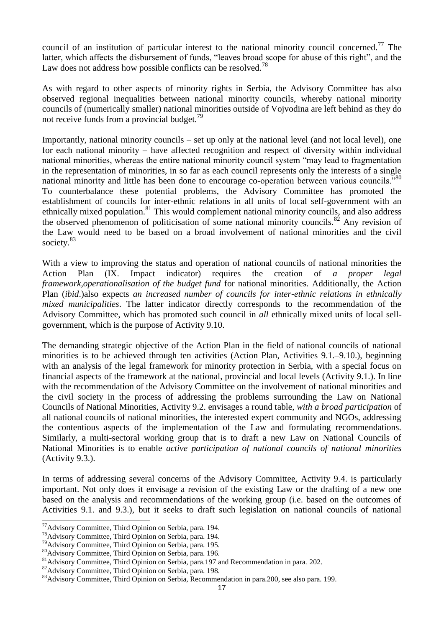council of an institution of particular interest to the national minority council concerned.<sup>77</sup> The latter, which affects the disbursement of funds, "leaves broad scope for abuse of this right", and the Law does not address how possible conflicts can be resolved.<sup>78</sup>

As with regard to other aspects of minority rights in Serbia, the Advisory Committee has also observed regional inequalities between national minority councils, whereby national minority councils of (numerically smaller) national minorities outside of Vojvodina are left behind as they do not receive funds from a provincial budget.<sup>79</sup>

Importantly, national minority councils – set up only at the national level (and not local level), one for each national minority – have affected recognition and respect of diversity within individual national minorities, whereas the entire national minority council system "may lead to fragmentation in the representation of minorities, in so far as each council represents only the interests of a single national minority and little has been done to encourage co-operation between various councils."<sup>80</sup> To counterbalance these potential problems, the Advisory Committee has promoted the establishment of councils for inter-ethnic relations in all units of local self-government with an ethnically mixed population.<sup>81</sup> This would complement national minority councils, and also address the observed phenomenon of politicisation of some national minority councils.<sup>82</sup> Any revision of the Law would need to be based on a broad involvement of national minorities and the civil society.<sup>83</sup>

With a view to improving the status and operation of national councils of national minorities the Action Plan (IX. Impact indicator) requires the creation of *a proper legal framework,operationalisation of the budget fund* for national minorities. Additionally, the Action Plan (*ibid*.)also expects *an increased number of councils for inter-ethnic relations in ethnically mixed municipalities*. The latter indicator directly corresponds to the recommendation of the Advisory Committee, which has promoted such council in *all* ethnically mixed units of local sellgovernment, which is the purpose of Activity 9.10.

The demanding strategic objective of the Action Plan in the field of national councils of national minorities is to be achieved through ten activities (Action Plan, Activities 9.1.–9.10.), beginning with an analysis of the legal framework for minority protection in Serbia, with a special focus on financial aspects of the framework at the national, provincial and local levels (Activity 9.1.). In line with the recommendation of the Advisory Committee on the involvement of national minorities and the civil society in the process of addressing the problems surrounding the Law on National Councils of National Minorities, Activity 9.2. envisages a round table, *with a broad participation* of all national councils of national minorities, the interested expert community and NGOs, addressing the contentious aspects of the implementation of the Law and formulating recommendations. Similarly, a multi-sectoral working group that is to draft a new Law on National Councils of National Minorities is to enable *active participation of national councils of national minorities* (Activity 9.3.).

In terms of addressing several concerns of the Advisory Committee, Activity 9.4. is particularly important. Not only does it envisage a revision of the existing Law or the drafting of a new one based on the analysis and recommendations of the working group (i.e. based on the outcomes of Activities 9.1. and 9.3.), but it seeks to draft such legislation on national councils of national

<sup>1</sup> <sup>77</sup>Advisory Committee, Third Opinion on Serbia, para. 194.

<sup>78</sup>Advisory Committee, Third Opinion on Serbia, para. 194.

<sup>79</sup>Advisory Committee, Third Opinion on Serbia, para. 195.

<sup>80</sup>Advisory Committee, Third Opinion on Serbia, para. 196.

<sup>&</sup>lt;sup>81</sup>Advisory Committee, Third Opinion on Serbia, para.197 and Recommendation in para. 202.

<sup>82</sup>Advisory Committee, Third Opinion on Serbia, para. 198.

<sup>&</sup>lt;sup>83</sup>Advisory Committee, Third Opinion on Serbia, Recommendation in para. 200, see also para. 199.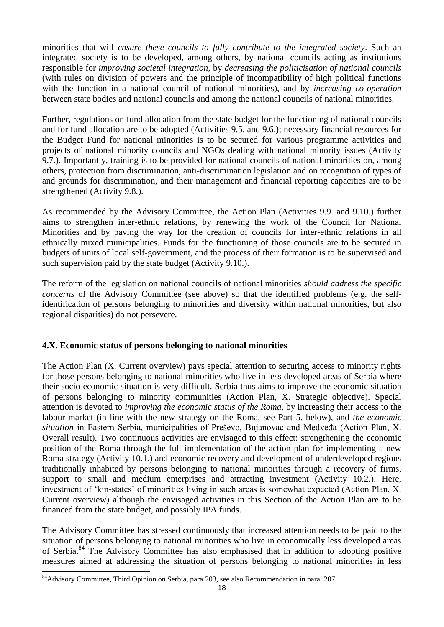minorities that will *ensure these councils to fully contribute to the integrated society*. Such an integrated society is to be developed, among others, by national councils acting as institutions responsible for *improving societal integration*, by *decreasing the politicisation of national councils* (with rules on division of powers and the principle of incompatibility of high political functions with the function in a national council of national minorities), and by *increasing co-operation* between state bodies and national councils and among the national councils of national minorities.

Further, regulations on fund allocation from the state budget for the functioning of national councils and for fund allocation are to be adopted (Activities 9.5. and 9.6.); necessary financial resources for the Budget Fund for national minorities is to be secured for various programme activities and projects of national minority councils and NGOs dealing with national minority issues (Activity 9.7.). Importantly, training is to be provided for national councils of national minorities on, among others, protection from discrimination, anti-discrimination legislation and on recognition of types of and grounds for discrimination, and their management and financial reporting capacities are to be strengthened (Activity 9.8.).

As recommended by the Advisory Committee, the Action Plan (Activities 9.9. and 9.10.) further aims to strengthen inter-ethnic relations, by renewing the work of the Council for National Minorities and by paving the way for the creation of councils for inter-ethnic relations in all ethnically mixed municipalities. Funds for the functioning of those councils are to be secured in budgets of units of local self-government, and the process of their formation is to be supervised and such supervision paid by the state budget (Activity 9.10.).

The reform of the legislation on national councils of national minorities *should address the specific concerns* of the Advisory Committee (see above) so that the identified problems (e.g. the selfidentification of persons belonging to minorities and diversity within national minorities, but also regional disparities) do not persevere.

### **4.X. Economic status of persons belonging to national minorities**

The Action Plan (X. Current overview) pays special attention to securing access to minority rights for those persons belonging to national minorities who live in less developed areas of Serbia where their socio-economic situation is very difficult. Serbia thus aims to improve the economic situation of persons belonging to minority communities (Action Plan, X. Strategic objective). Special attention is devoted to *improving the economic status of the Roma*, by increasing their access to the labour market (in line with the new strategy on the Roma, see Part 5. below), and *the economic situation* in Eastern Serbia, municipalities of Preševo, Bujanovac and Medveđa (Action Plan, X. Overall result). Two continuous activities are envisaged to this effect: strengthening the economic position of the Roma through the full implementation of the action plan for implementing a new Roma strategy (Activity 10.1.) and economic recovery and development of underdeveloped regions traditionally inhabited by persons belonging to national minorities through a recovery of firms, support to small and medium enterprises and attracting investment (Activity 10.2.). Here, investment of 'kin-states' of minorities living in such areas is somewhat expected (Action Plan, X. Current overview) although the envisaged activities in this Section of the Action Plan are to be financed from the state budget, and possibly IPA funds.

The Advisory Committee has stressed continuously that increased attention needs to be paid to the situation of persons belonging to national minorities who live in economically less developed areas of Serbia.<sup>84</sup> The Advisory Committee has also emphasised that in addition to adopting positive measures aimed at addressing the situation of persons belonging to national minorities in less 1

<sup>84</sup>Advisory Committee, Third Opinion on Serbia, para.203, see also Recommendation in para. 207.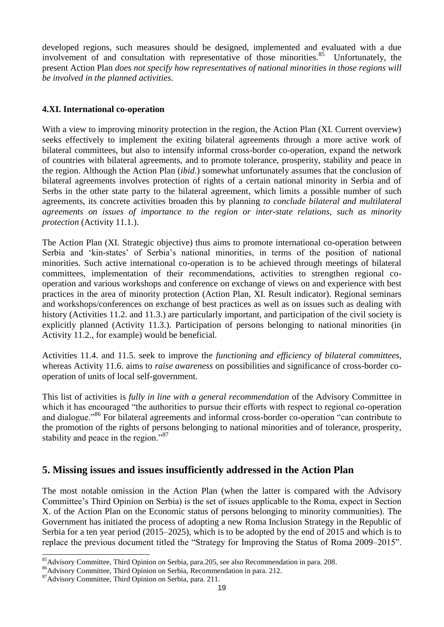developed regions, such measures should be designed, implemented and evaluated with a due involvement of and consultation with representative of those minorities.<sup>85</sup> Unfortunately, the present Action Plan *does not specify how representatives of national minorities in those regions will be involved in the planned activities*.

### **4.XI. International co-operation**

With a view to improving minority protection in the region, the Action Plan (XI. Current overview) seeks effectively to implement the exiting bilateral agreements through a more active work of bilateral committees, but also to intensify informal cross-border co-operation, expand the network of countries with bilateral agreements, and to promote tolerance, prosperity, stability and peace in the region. Although the Action Plan (*ibid*.) somewhat unfortunately assumes that the conclusion of bilateral agreements involves protection of rights of a certain national minority in Serbia and of Serbs in the other state party to the bilateral agreement, which limits a possible number of such agreements, its concrete activities broaden this by planning *to conclude bilateral and multilateral agreements on issues of importance to the region or inter-state relations, such as minority protection* (Activity 11.1.).

The Action Plan (XI. Strategic objective) thus aims to promote international co-operation between Serbia and 'kin-states' of Serbia's national minorities, in terms of the position of national minorities. Such active international co-operation is to be achieved through meetings of bilateral committees, implementation of their recommendations, activities to strengthen regional cooperation and various workshops and conference on exchange of views on and experience with best practices in the area of minority protection (Action Plan, XI. Result indicator). Regional seminars and workshops/conferences on exchange of best practices as well as on issues such as dealing with history (Activities 11.2. and 11.3.) are particularly important, and participation of the civil society is explicitly planned (Activity 11.3.). Participation of persons belonging to national minorities (in Activity 11.2., for example) would be beneficial.

Activities 11.4. and 11.5. seek to improve the *functioning and efficiency of bilateral committees*, whereas Activity 11.6. aims to *raise awareness* on possibilities and significance of cross-border cooperation of units of local self-government.

This list of activities is *fully in line with a general recommendation* of the Advisory Committee in which it has encouraged "the authorities to pursue their efforts with respect to regional co-operation and dialogue."<sup>86</sup> For bilateral agreements and informal cross-border co-operation "can contribute to the promotion of the rights of persons belonging to national minorities and of tolerance, prosperity, stability and peace in the region."<sup>87</sup>

# **5. Missing issues and issues insufficiently addressed in the Action Plan**

The most notable omission in the Action Plan (when the latter is compared with the Advisory Committee's Third Opinion on Serbia) is the set of issues applicable to the Roma, expect in Section X. of the Action Plan on the Economic status of persons belonging to minority communities). The Government has initiated the process of adopting a new Roma Inclusion Strategy in the Republic of Serbia for a ten year period (2015–2025), which is to be adopted by the end of 2015 and which is to replace the previous document titled the "Strategy for Improving the Status of Roma 2009–2015".

<sup>1</sup> <sup>85</sup>Advisory Committee, Third Opinion on Serbia, para.205, see also Recommendation in para. 208.

<sup>86</sup>Advisory Committee, Third Opinion on Serbia, Recommendation in para. 212.

<sup>87</sup>Advisory Committee, Third Opinion on Serbia, para. 211.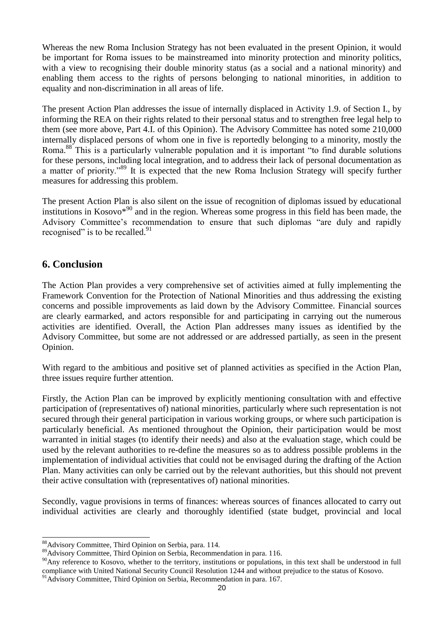Whereas the new Roma Inclusion Strategy has not been evaluated in the present Opinion, it would be important for Roma issues to be mainstreamed into minority protection and minority politics, with a view to recognising their double minority status (as a social and a national minority) and enabling them access to the rights of persons belonging to national minorities, in addition to equality and non-discrimination in all areas of life.

The present Action Plan addresses the issue of internally displaced in Activity 1.9. of Section I., by informing the REA on their rights related to their personal status and to strengthen free legal help to them (see more above, Part 4.I. of this Opinion). The Advisory Committee has noted some 210,000 internally displaced persons of whom one in five is reportedly belonging to a minority, mostly the Roma.<sup>88</sup> This is a particularly vulnerable population and it is important "to find durable solutions" for these persons, including local integration, and to address their lack of personal documentation as a matter of priority."<sup>89</sup> It is expected that the new Roma Inclusion Strategy will specify further measures for addressing this problem.

The present Action Plan is also silent on the issue of recognition of diplomas issued by educational institutions in Kosovo $*^{90}$  and in the region. Whereas some progress in this field has been made, the Advisory Committee's recommendation to ensure that such diplomas "are duly and rapidly recognised" is to be recalled. $91$ 

# **6. Conclusion**

-

The Action Plan provides a very comprehensive set of activities aimed at fully implementing the Framework Convention for the Protection of National Minorities and thus addressing the existing concerns and possible improvements as laid down by the Advisory Committee. Financial sources are clearly earmarked, and actors responsible for and participating in carrying out the numerous activities are identified. Overall, the Action Plan addresses many issues as identified by the Advisory Committee, but some are not addressed or are addressed partially, as seen in the present Opinion.

With regard to the ambitious and positive set of planned activities as specified in the Action Plan, three issues require further attention.

Firstly, the Action Plan can be improved by explicitly mentioning consultation with and effective participation of (representatives of) national minorities, particularly where such representation is not secured through their general participation in various working groups, or where such participation is particularly beneficial. As mentioned throughout the Opinion, their participation would be most warranted in initial stages (to identify their needs) and also at the evaluation stage, which could be used by the relevant authorities to re-define the measures so as to address possible problems in the implementation of individual activities that could not be envisaged during the drafting of the Action Plan. Many activities can only be carried out by the relevant authorities, but this should not prevent their active consultation with (representatives of) national minorities.

Secondly, vague provisions in terms of finances: whereas sources of finances allocated to carry out individual activities are clearly and thoroughly identified (state budget, provincial and local

<sup>88</sup>Advisory Committee, Third Opinion on Serbia, para. 114.

<sup>89</sup>Advisory Committee, Third Opinion on Serbia, Recommendation in para. 116.

<sup>&</sup>lt;sup>90</sup>Any reference to Kosovo, whether to the territory, institutions or populations, in this text shall be understood in full compliance with United National Security Council Resolution 1244 and without prejudice to the status of Kosovo.

<sup>&</sup>lt;sup>91</sup>Advisory Committee, Third Opinion on Serbia, Recommendation in para. 167.